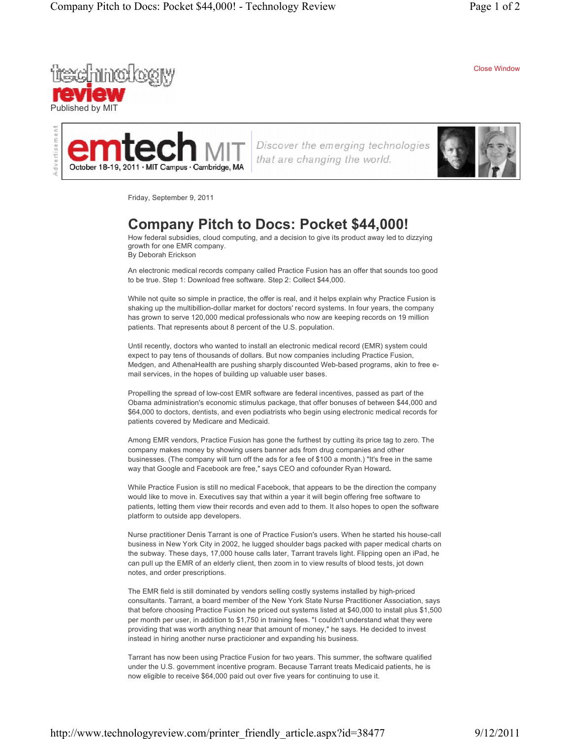Close Window





Discover the emerging technologies that are changing the world.



Friday, September 9, 2011

## **Company Pitch to Docs: Pocket \$44,000!**

How federal subsidies, cloud computing, and a decision to give its product away led to dizzying growth for one EMR company. By Deborah Erickson

An electronic medical records company called Practice Fusion has an offer that sounds too good to be true. Step 1: Download free software. Step 2: Collect \$44,000.

While not quite so simple in practice, the offer is real, and it helps explain why Practice Fusion is shaking up the multibillion-dollar market for doctors' record systems. In four years, the company has grown to serve 120,000 medical professionals who now are keeping records on 19 million patients. That represents about 8 percent of the U.S. population.

Until recently, doctors who wanted to install an electronic medical record (EMR) system could expect to pay tens of thousands of dollars. But now companies including Practice Fusion, Medgen, and AthenaHealth are pushing sharply discounted Web-based programs, akin to free email services, in the hopes of building up valuable user bases.

Propelling the spread of low-cost EMR software are federal incentives, passed as part of the Obama administration's economic stimulus package, that offer bonuses of between \$44,000 and \$64,000 to doctors, dentists, and even podiatrists who begin using electronic medical records for patients covered by Medicare and Medicaid.

Among EMR vendors, Practice Fusion has gone the furthest by cutting its price tag to zero. The company makes money by showing users banner ads from drug companies and other businesses. (The company will turn off the ads for a fee of \$100 a month.) "It's free in the same way that Google and Facebook are free," says CEO and cofounder Ryan Howard**.**

While Practice Fusion is still no medical Facebook, that appears to be the direction the company would like to move in. Executives say that within a year it will begin offering free software to patients, letting them view their records and even add to them. It also hopes to open the software platform to outside app developers.

Nurse practitioner Denis Tarrant is one of Practice Fusion's users. When he started his house-call business in New York City in 2002, he lugged shoulder bags packed with paper medical charts on the subway. These days, 17,000 house calls later, Tarrant travels light. Flipping open an iPad, he can pull up the EMR of an elderly client, then zoom in to view results of blood tests, jot down notes, and order prescriptions.

The EMR field is still dominated by vendors selling costly systems installed by high-priced consultants. Tarrant, a board member of the New York State Nurse Practitioner Association, says that before choosing Practice Fusion he priced out systems listed at \$40,000 to install plus \$1,500 per month per user, in addition to \$1,750 in training fees. "I couldn't understand what they were providing that was worth anything near that amount of money," he says. He decided to invest instead in hiring another nurse practicioner and expanding his business.

Tarrant has now been using Practice Fusion for two years. This summer, the software qualified under the U.S. government incentive program. Because Tarrant treats Medicaid patients, he is now eligible to receive \$64,000 paid out over five years for continuing to use it.